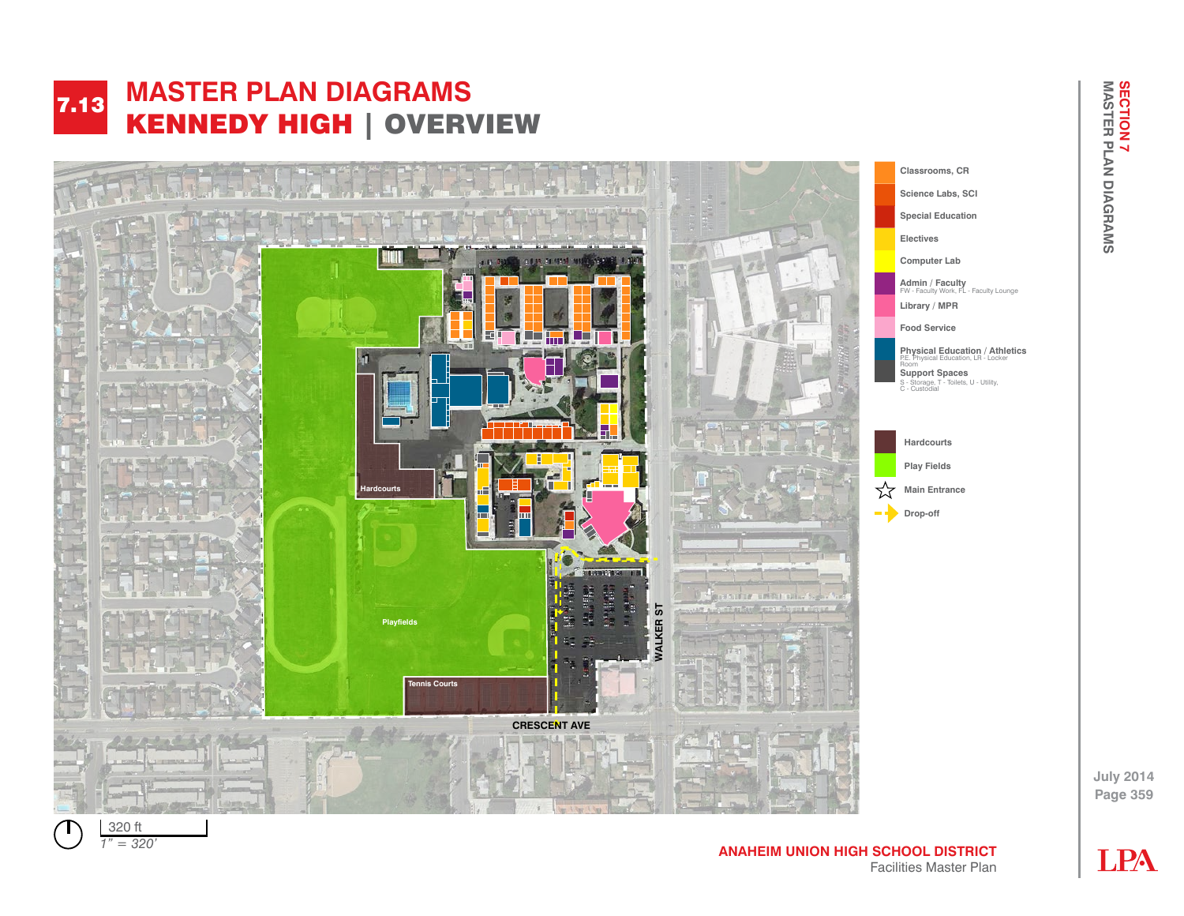#### **MASTER PLAN DIAGRAMS**  KENNEDY HIGH | OVERVIEW 7.13 **FACILITY AND MANUSCRY PLANNING JOHN F KENNEDY HIGH | EVERVIEW**



**July 2014 Page 359**



*1" = 320' 1" = 80'*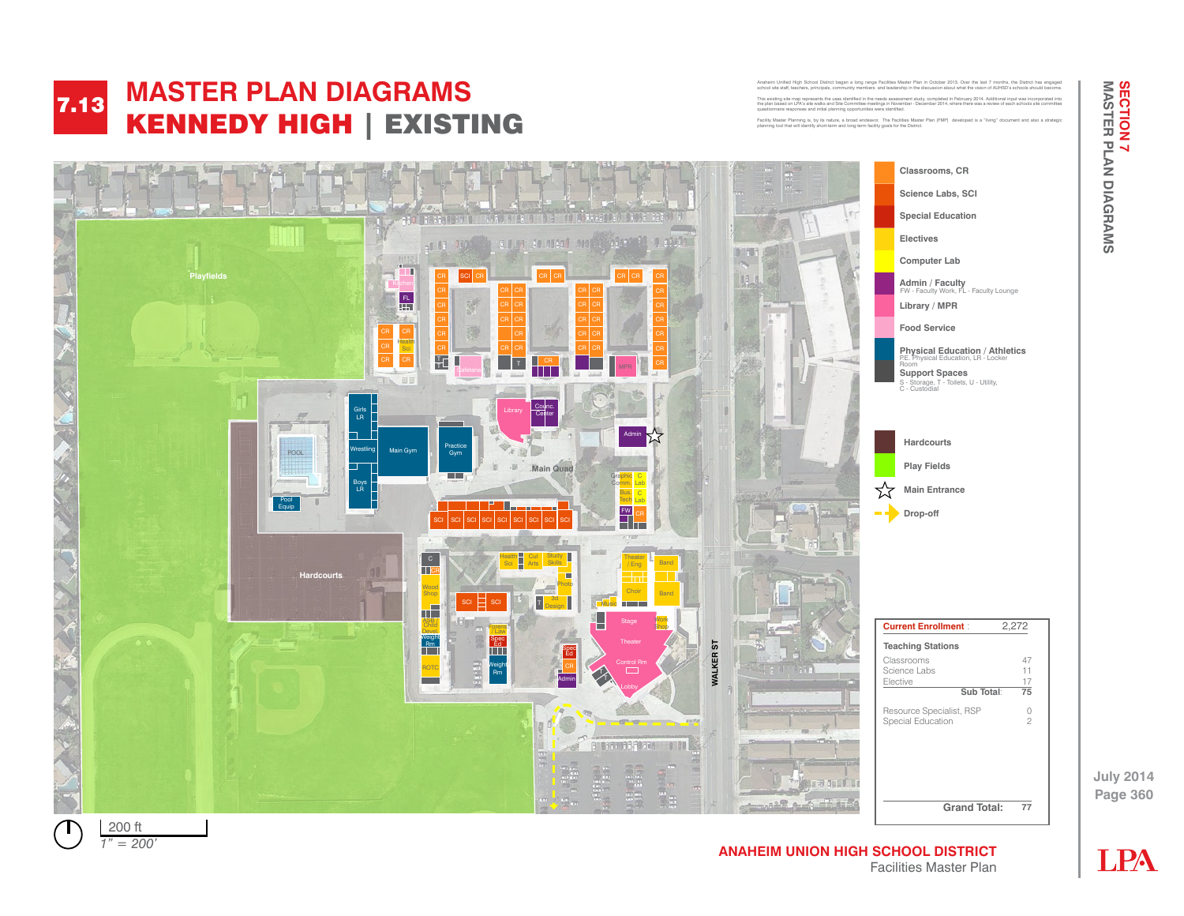**SECTION 7<br>MASTER PLAN DIAGRAMS July 2014 MASTER PLAN DIAGRAMS SECTION 7** 

#### **MASTER PLAN DIAGRAMS**  KENNEDY HIGH | EXISTING 7.13 **FACILITY AND MANUSCRY PLANNING John F KENNEDY HN HIM | EXISTIN**

Anaheim Unified High School District began a long range Facilities Master Plan in October 2013. Over the last 7 months, the District has engaged<br>school site staff, teachers, principals, community members and leadership in This existing site map represents the uses identified in the needs assessment study, completed in February 2014. Additional input was incorporated into the plan based on LPA's site walks and Site Committee meetings in November - December 2014, where there was a review of each schools site committee questionnaire responses and initial planning opportunities were identified.

Facility Master Planning is, by its nature, a broad endeavor. The Facilities Master Plan (FMP) developed is a "living" document and also a strategic planning tool that will identify short-term and long-term facility goals for the District. This existing site map in the needs assessment in the needs assessment in the needs assessment in December 2013. Additional incorporated in December 2013. Additional incorporated in December 2013. Additional incorporated i

Anahoim United Alast Chinas range Facilities Master Plan in October 2013. Option



Facilities Master Plan



**Page 360**

**July 2014**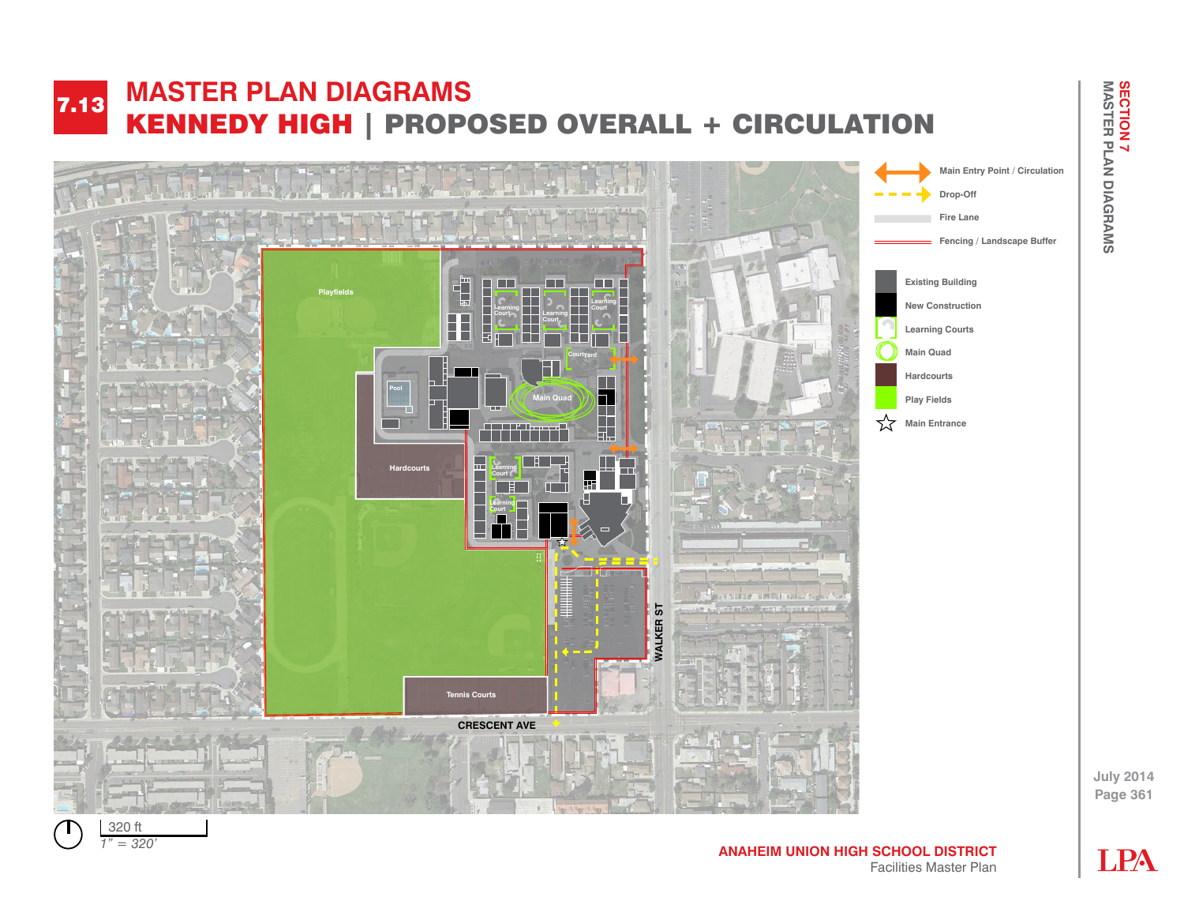#### **MASTER PLAN DIAGRAMS**  KENNEDY HIGH | PROPOSED OVERALL + CIRCULATION 7.13 **FACILITY AND MANUSCRY PLANNING John F KENNEDY HS IN F PROPOSED STENCHET SIN**







**LPA** 

**Page 361**

**July 2014**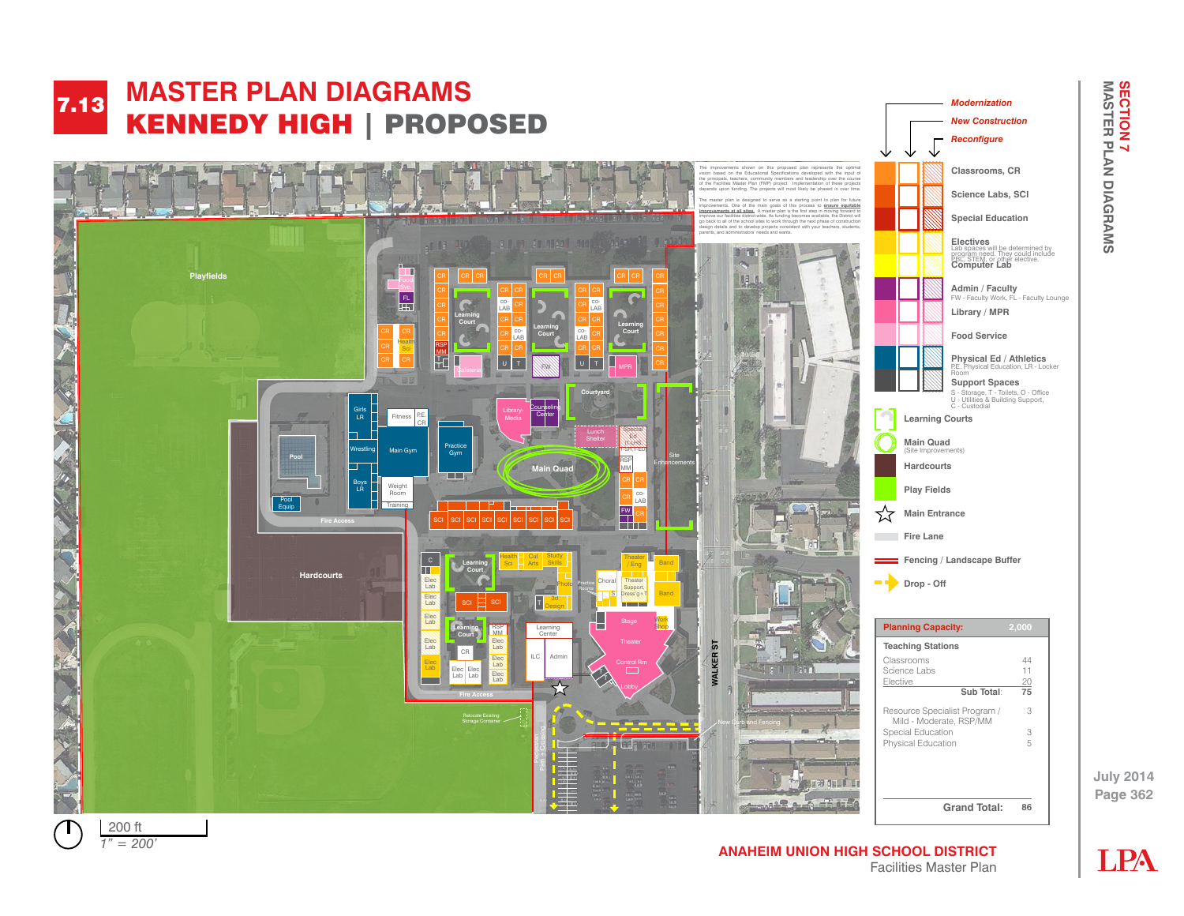

**ANAHEIM UNION HIGH SCHOOL DISTRICT** Facilities Master Plan



**Page 362**

**July 2014**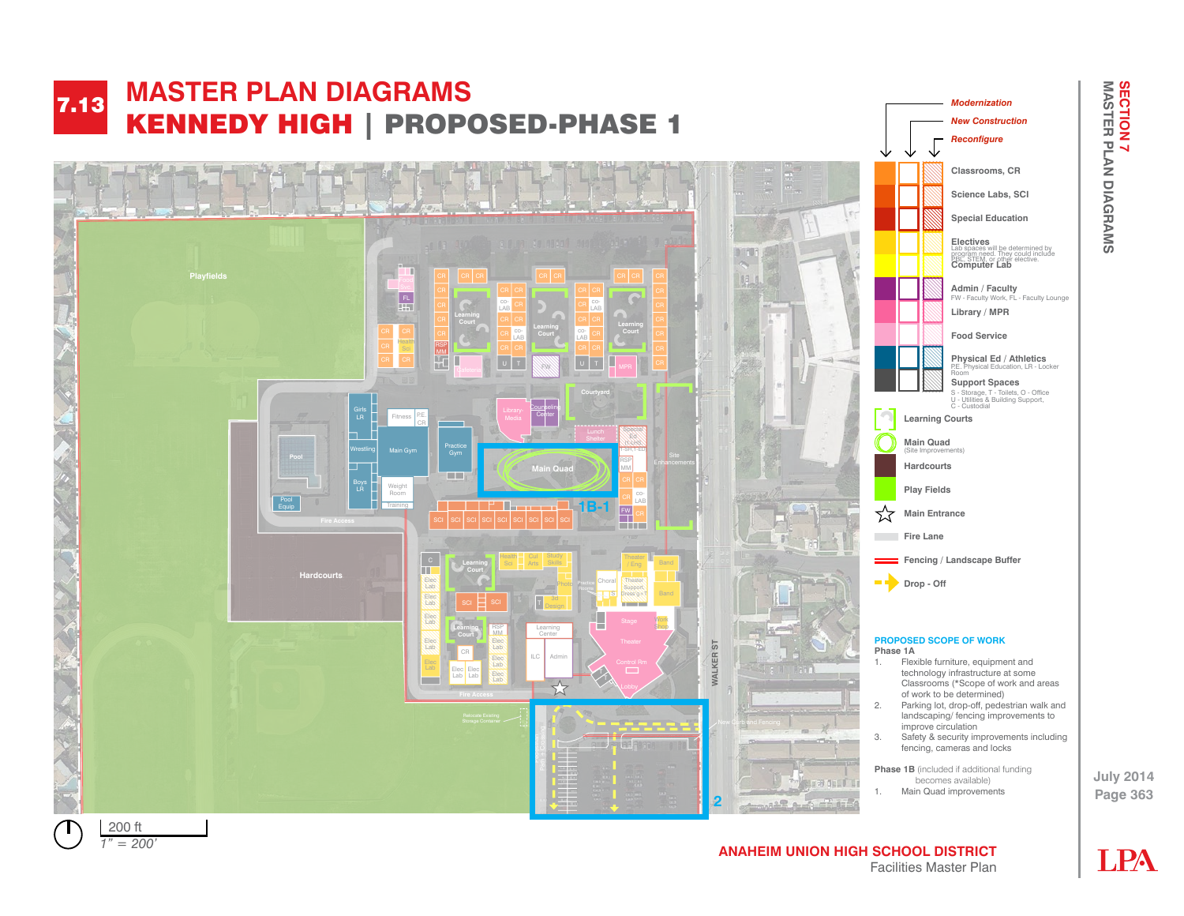

*1" = 50' 1" = 200'*

## **ANAHEIM UNION HIGH SCHOOL DISTRICT** Facilities Master Plan

**July 2014 MASTER PLAN DIAGRAMS SECTION 7 SECTION 7<br>MASTER PLAN DIAGRAMS** 

**LPA**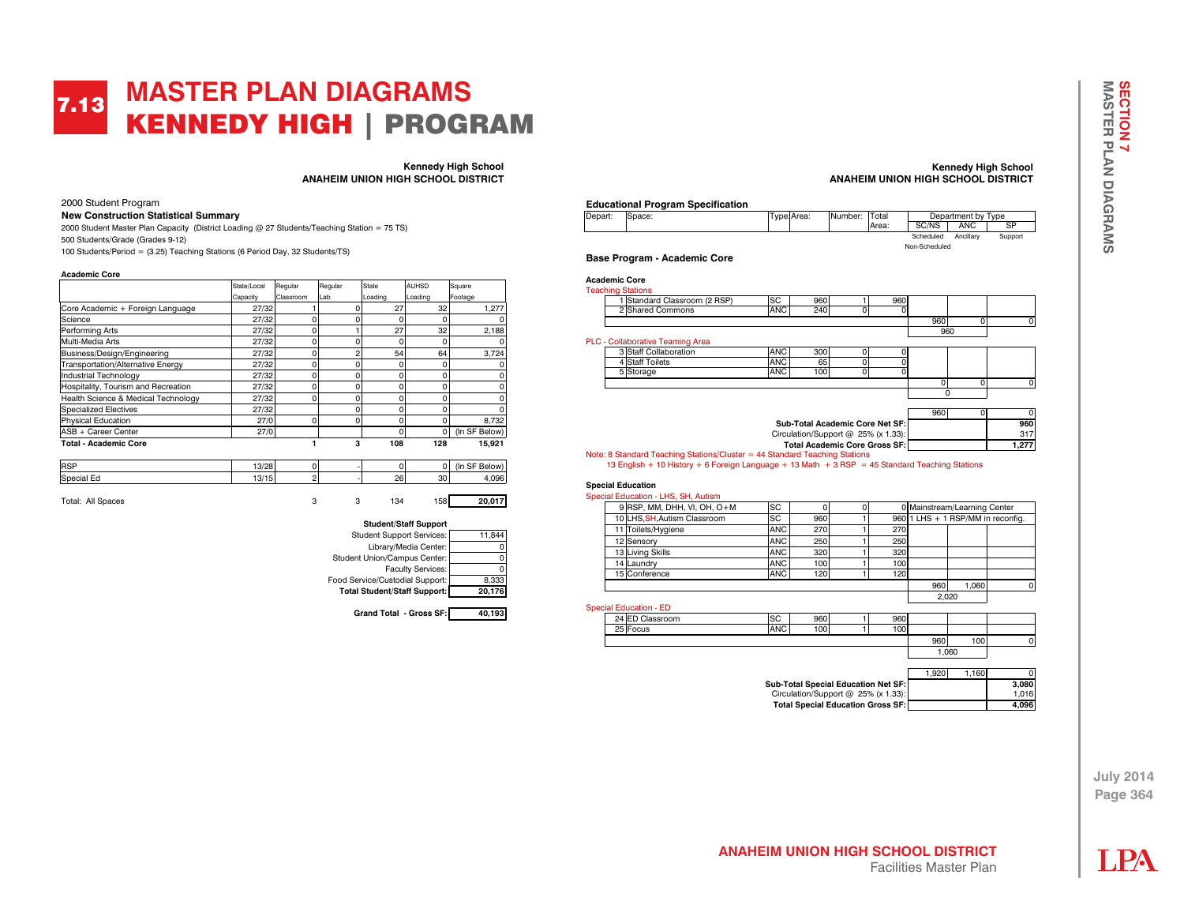### **MASTER PLAN DIAGRAMS**  KENNEDY HIGH | PROGRAM 7.13

**Kennedy High School ANAHEIM UNION HIGH SCHOOL DISTRICT**

2000 Student Program

#### **New Construction Statistical Summary**

2000 Student Master Plan Capacity (District Loading @ 27 Students/Teaching Station = 75 TS) 500 Students/Grade (Grades 9-12) 100 Students/Period = (3.25) Teaching Stations (6 Period Day, 32 Students/TS)

**Academic Core** 

|                                     | State/Local | Regular   | Regular | State   | AUHSD    | Square        |
|-------------------------------------|-------------|-----------|---------|---------|----------|---------------|
|                                     | Capacity    | Classroom | Lab     | Loading | Loading  | Footage       |
| Core Academic + Foreign Language    | 27/32       |           | n       | 27      | 32       | 1.277         |
| Science                             | 27/32       |           | 0       |         | 0        |               |
| Performing Arts                     | 27/32       | 0         |         | 27      | 32       | 2,188         |
| Multi-Media Arts                    | 27/32       | C         | 0       |         | 0        |               |
| Business/Design/Engineering         | 27/32       | O         | 2       | 54      | 64       | 3.724         |
| Transportation/Alternative Energy   | 27/32       | O         | 0       |         | 0        |               |
| Industrial Technology               | 27/32       | C         | 0       |         | 0        |               |
| Hospitality, Tourism and Recreation | 27/32       | O         | 0       |         | U        |               |
| Health Science & Medical Technology | 27/32       | C         | 0       |         | 0        |               |
| <b>Specialized Electives</b>        | 27/32       |           | 0       |         | O        |               |
| <b>Physical Education</b>           | 27/0        | C         | 0       |         | O        | 8.732         |
| ASB + Career Center                 | 27/0        |           |         | n       | $\Omega$ | (In SF Below) |
| <b>Total - Academic Core</b>        |             |           | з       | 108     | 128      | 15.921        |

| <b>RSP</b> | 10/00<br>ں ∠ ن ا    |  |                   |    | low<br>'In |
|------------|---------------------|--|-------------------|----|------------|
| Special Ed | 10115<br>I v<br>ن ا |  | <b>OR</b><br>∙ ت⊃ | 30 | 1.096      |
|            |                     |  |                   |    |            |

Total: All Spaces 3 3 134 158 **20,017**



#### **Kennedy High School ANAHEIM UNION HIGH SCHOOL DISTRICT**

#### **Educational Program Specification**

| Depart: | Space: | Type: Area: | INumber: | 'Total | Department by Type |           |         |
|---------|--------|-------------|----------|--------|--------------------|-----------|---------|
|         |        |             |          | Area:  | SC/NS              | ANC       | SP      |
|         |        |             |          |        | Scheduled          | Ancillarv | Support |
|         |        |             |          |        | Non-Scheduled      |           |         |

**Base Program - Academic Core** 

|  | Standard Classroom (2 RSP)              | <b>SC</b>  | 960                                   |   | 960 |     |   |     |
|--|-----------------------------------------|------------|---------------------------------------|---|-----|-----|---|-----|
|  | 2 Shared Commons                        | <b>ANC</b> | 240                                   | 0 | 0   |     |   |     |
|  |                                         |            |                                       |   |     | 960 | 0 |     |
|  |                                         |            |                                       |   |     | 960 |   |     |
|  | <b>PLC - Collaborative Teaming Area</b> |            |                                       |   |     |     |   |     |
|  | 3 Staff Collaboration                   | <b>ANC</b> | 300                                   |   |     |     |   |     |
|  | 4 Staff Toilets                         | <b>ANC</b> | 65                                    | 0 |     |     |   |     |
|  | 5 Storage                               | <b>ANC</b> | 100                                   | 0 | 0   |     |   |     |
|  |                                         |            |                                       |   |     |     | n |     |
|  |                                         |            |                                       |   |     | 0   |   |     |
|  |                                         |            |                                       |   |     |     |   |     |
|  |                                         |            |                                       |   |     | 960 | n |     |
|  |                                         |            | Sub-Total Academic Core Net SF:       |   |     |     |   | 960 |
|  |                                         |            |                                       |   |     |     |   |     |
|  |                                         |            | Circulation/Support $@$ 25% (x 1.33): |   |     |     |   | 317 |

Note: 8 Standard Teaching Stations/Cluster = 44 Standard Teaching Stations 13 English + 10 History + 6 Foreign Language + 13 Math + 3 RSP = 45 Standard Teaching Stations

#### **Special Education**

|  | Special Education - LHS, SH, Autism |            |     |     |     |                                   |  |
|--|-------------------------------------|------------|-----|-----|-----|-----------------------------------|--|
|  | $9$ RSP, MM, DHH, VI, OH, O+M       | SC         |     |     |     | 0 Mainstream/Learning Center      |  |
|  | 10LHS.SH.Autism Classroom           | <b>SC</b>  | 960 |     |     | 960 1 LHS + 1 RSP/MM in reconfig. |  |
|  | 11 Toilets/Hygiene                  | <b>ANC</b> | 270 | 270 |     |                                   |  |
|  | 12 Sensory                          | <b>ANC</b> | 250 | 250 |     |                                   |  |
|  | 13 Living Skills                    | <b>ANC</b> | 320 | 320 |     |                                   |  |
|  | 14 Laundry                          | <b>ANC</b> | 100 | 100 |     |                                   |  |
|  | 15 Conference                       | <b>ANC</b> | 120 | 120 |     |                                   |  |
|  |                                     |            |     |     | 960 | 1.060                             |  |
|  |                                     |            |     |     |     | 2.020                             |  |

Special Education - ED

| Classroom<br>$24$ FP | $\sim$<br>ಀ | 960 | 960 |     |      |  |
|----------------------|-------------|-----|-----|-----|------|--|
| 25 Focus             | <b>ANC</b>  | 100 | 100 |     |      |  |
|                      |             |     |     | 960 | 100  |  |
|                      |             |     |     |     | .060 |  |

1,920 1,160 0 **Sub-Total Special Education Net SF:** 3,080<br>
Circulation/Support @ 25% (x 1.33): 1.016 Circulation/Support  $@$  25% (x 1.33): Total Special Education Gross SF: 4,096

**July 2014 MASTER PLAN DIAGRAMS SECTION 7 SECTION 7<br>MASTER PLAN DIAGRAMS** 

**July 2014 Page 364**

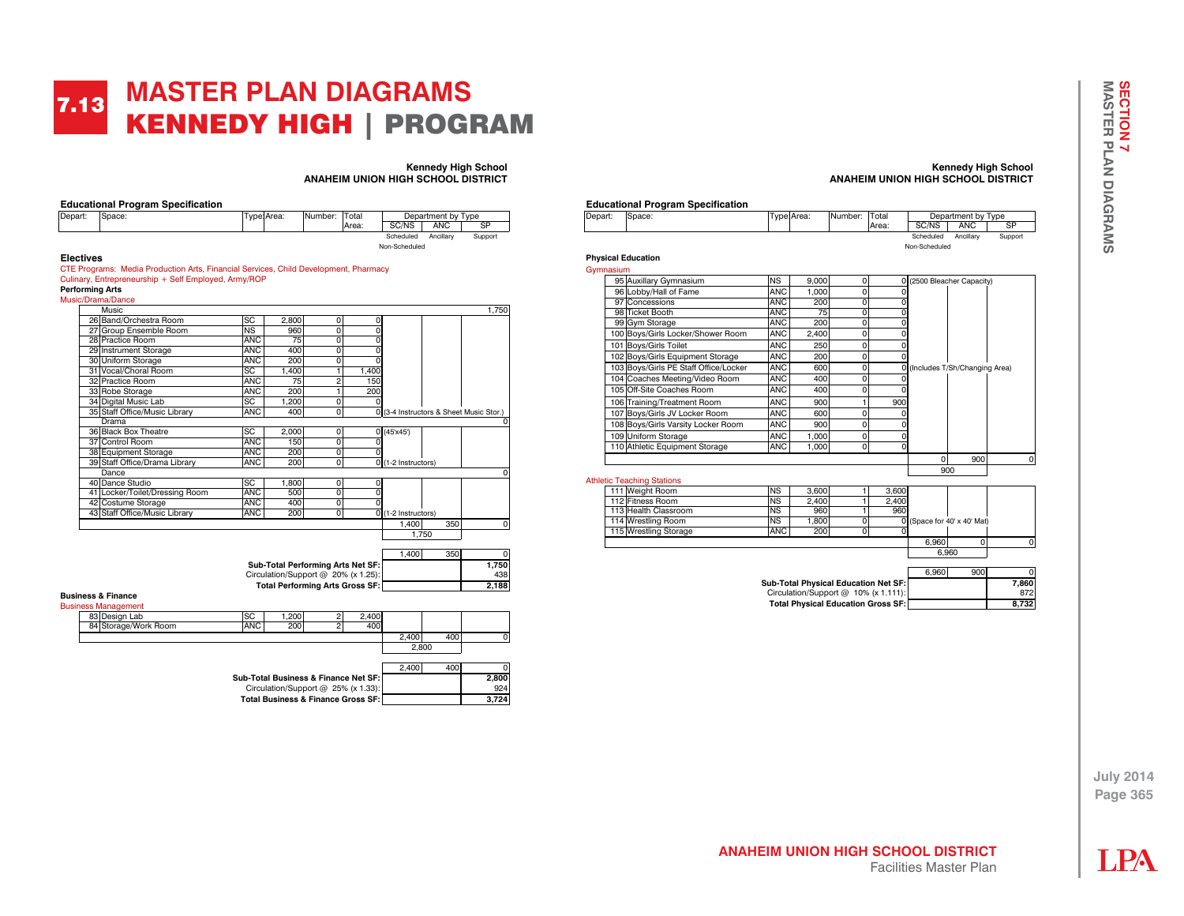### **MASTER PLAN DIAGRAMS**  KENNEDY HIGH | PROGRAM 7.13

#### **Kennedy High School ANAHEIM UNION HIGH SCHOOL DISTRICT**

|                  | <b>Educational Program Specification</b> |             |         |       |               |                    |         |
|------------------|------------------------------------------|-------------|---------|-------|---------------|--------------------|---------|
| Depart:          | Space:                                   | Type: Area: | Number: | Total |               | Department by Type |         |
|                  |                                          |             |         | Area: | SC/NS         | <b>ANC</b>         | SP      |
|                  |                                          |             |         |       | Scheduled     | Ancillarv          | Support |
|                  |                                          |             |         |       | Non-Scheduled |                    |         |
| <b>Electives</b> |                                          |             |         |       |               |                    |         |

CTE Programs: Media Production Arts, Financial Services, Child Development, Pharmacy Culinary, Entrepreneurship + Self Employed, Army/ROP **Performing Arts**

Mu

| usic/Drama/Dance               |            |       |                |       |                     |       |                                         |
|--------------------------------|------------|-------|----------------|-------|---------------------|-------|-----------------------------------------|
| Music                          |            |       |                |       |                     |       | 1,750                                   |
| 26 Band/Orchestra Room         | SC         | 2,800 | 0              | C     |                     |       |                                         |
| 27 Group Ensemble Room         | <b>NS</b>  | 960   | 0              |       |                     |       |                                         |
| 28 Practice Room               | <b>ANC</b> | 75    | $\Omega$       |       |                     |       |                                         |
| 29 Instrument Storage          | <b>ANC</b> | 400   | $\Omega$       | ٢     |                     |       |                                         |
| 30 Uniform Storage             | <b>ANC</b> | 200   | $\Omega$       | ٢     |                     |       |                                         |
| 31 Vocal/Choral Room           | SC         | 1.400 |                | 1,400 |                     |       |                                         |
| 32 Practice Room               | <b>ANC</b> | 75    | $\overline{a}$ | 150   |                     |       |                                         |
| 33 Robe Storage                | <b>ANC</b> | 200   |                | 200   |                     |       |                                         |
| 34 Digital Music Lab           | SC         | 1.200 | $\Omega$       |       |                     |       |                                         |
| 35 Staff Office/Music Library  | <b>ANC</b> | 400   | 0              |       |                     |       | 0 (3-4 Instructors & Sheet Music Stor.) |
| Drama                          |            |       |                |       |                     |       | O                                       |
| 36 Black Box Theatre           | SC         | 2,000 | 0              |       | 0(45x45)            |       |                                         |
| 37 Control Room                | <b>ANC</b> | 150   | 0              |       |                     |       |                                         |
| 38 Equipment Storage           | ANC        | 200   | 0              |       |                     |       |                                         |
| 39 Staff Office/Drama Library  | <b>ANC</b> | 200   | $\Omega$       |       | 0 (1-2 Instructors) |       |                                         |
| Dance                          |            |       |                |       |                     |       | $\Omega$                                |
| 40 Dance Studio                | SC         | 1.800 | $\mathbf{0}$   | ۵     |                     |       |                                         |
| 41 Locker/Toilet/Dressing Room | <b>ANC</b> | 500   | 0              |       |                     |       |                                         |
| 42 Costume Storage             | <b>ANC</b> | 400   | 0              |       |                     |       |                                         |
| 43 Staff Office/Music Library  | <b>ANC</b> | 200   | $\mathbf 0$    |       | 0 (1-2 Instructors) |       |                                         |
|                                |            |       |                |       | 1,400               | 350   | O                                       |
|                                |            |       |                |       |                     | 1.750 |                                         |
|                                |            |       |                |       |                     |       |                                         |

|                                        | 1.400 | 350 |       |
|----------------------------------------|-------|-----|-------|
| Sub-Total Performing Arts Net SF:      |       |     | 1.750 |
| Circulation/Support $@$ 20% (x 1.25):  |       |     | 438   |
| <b>Total Performing Arts Gross SF:</b> |       |     | 2.188 |

**Business & Finance**

| <b>Business Management</b> |                                        |                                               |       |       |     |       |
|----------------------------|----------------------------------------|-----------------------------------------------|-------|-------|-----|-------|
| 83 Design Lab              | SC                                     | 1.200                                         | 2.400 |       |     |       |
| 84 Storage/Work Room       | <b>ANC</b>                             | 200                                           | 400   |       |     |       |
|                            |                                        |                                               |       | 2.400 | 400 |       |
|                            |                                        |                                               |       | 2.800 |     |       |
|                            |                                        |                                               |       | 2.400 | 400 |       |
|                            | Sub-Total Business & Finance Net SF: I |                                               |       |       |     | 2,800 |
|                            |                                        | Circulation/Support @ 25% (x 1.33):           |       |       |     | 924   |
|                            |                                        | <b>Total Business &amp; Finance Gross SF:</b> |       |       |     | 3.724 |

#### **Kennedy High School ANAHEIM UNION HIGH SCHOOL DISTRICT**

|  | <b>Educational Program Specification</b> |  |
|--|------------------------------------------|--|
|  |                                          |  |

| Depart: | Space: | Гуре:Area: | Number: | Total  |               | Department by Type |         |
|---------|--------|------------|---------|--------|---------------|--------------------|---------|
|         |        |            |         | lArea: | SC/NS         | ANC                | SP      |
|         |        |            |         |        | Scheduled     | Ancillarv          | Support |
|         |        |            |         |        | Non-Scheduled |                    |         |

**Physical Education** Gyr

| mnasium |                                       |            |       |          |          |          |                               |   |
|---------|---------------------------------------|------------|-------|----------|----------|----------|-------------------------------|---|
|         | 95 Auxillary Gymnasium                | <b>NS</b>  | 9.000 | 0        | 0        |          | (2500 Bleacher Capacity)      |   |
|         | 96 Lobby/Hall of Fame                 | <b>ANC</b> | 1,000 | 0        |          |          |                               |   |
| 97      | Concessions                           | <b>ANC</b> | 200   | $\Omega$ | 0        |          |                               |   |
|         | 98 Ticket Booth                       | <b>ANC</b> | 75    | $\Omega$ | 0        |          |                               |   |
|         | 99 Gym Storage                        | <b>ANC</b> | 200   | 0        | 0        |          |                               |   |
|         | 00 Boys/Girls Locker/Shower Room      | <b>ANC</b> | 2,400 | $\Omega$ | 0        |          |                               |   |
|         | 101 Boys/Girls Toilet                 | <b>ANC</b> | 250   | 0        | 0        |          |                               |   |
|         | 102 Boys/Girls Equipment Storage      | <b>ANC</b> | 200   | 0        | 0        |          |                               |   |
|         | 103 Boys/Girls PE Staff Office/Locker | <b>ANC</b> | 600   | 0        | $\Omega$ |          | (Includes T/Sh/Changing Area) |   |
|         | 104 Coaches Meeting/Video Room        | <b>ANC</b> | 400   | 0        |          |          |                               |   |
|         | 105 Off-Site Coaches Room             | <b>ANC</b> | 400   | 0        | 0        |          |                               |   |
|         | 106 Training/Treatment Room           | <b>ANC</b> | 900   |          | 900      |          |                               |   |
|         | 107 Boys/Girls JV Locker Room         | <b>ANC</b> | 600   | O        | 0        |          |                               |   |
|         | 108 Boys/Girls Varsity Locker Room    | <b>ANC</b> | 900   | 0        | 0        |          |                               |   |
|         | 109 Uniform Storage                   | <b>ANC</b> | 1,000 | 0        | 0        |          |                               |   |
|         | 110 Athletic Equipment Storage        | ANC        | 1,000 | 0        | 0        |          |                               |   |
|         |                                       |            |       |          |          | $\Omega$ | 900                           | O |
|         |                                       |            | 900   |          |          |          |                               |   |
|         | letic Teaching Stations               |            |       |          |          |          |                               |   |
|         | 111 Weight Room                       | <b>NS</b>  | 3.600 |          | 3,600    |          |                               |   |
|         | 112 Fitness Room                      | <b>NS</b>  | 2.400 |          | 2.400    |          |                               |   |

Ath

|                       |            |       |       |       | 6.960                       |  |
|-----------------------|------------|-------|-------|-------|-----------------------------|--|
|                       |            |       |       | 6.960 |                             |  |
| 115 Wrestling Storage | <b>ANC</b> | 200   |       |       |                             |  |
| 114 Wrestling Room    | <b>NS</b>  | 1.800 |       |       | 0 (Space for 40' x 40' Mat) |  |
| 113 Health Classroom  | <b>NS</b>  | 960   | 960   |       |                             |  |
| 112 Fitness Room      | <b>NS</b>  | 2.400 | 2.400 |       |                             |  |
| 111 Weight Room       | <b>NS</b>  | 3.600 | 3.600 |       |                             |  |

|                                             | 6.960 | 900 |       |
|---------------------------------------------|-------|-----|-------|
| <b>Sub-Total Physical Education Net SF:</b> |       |     | 7.860 |
| Circulation/Support $@$ 10% (x 1.111):      |       |     | 872   |
| <b>Total Physical Education Gross SF:</b>   |       |     | 8.732 |

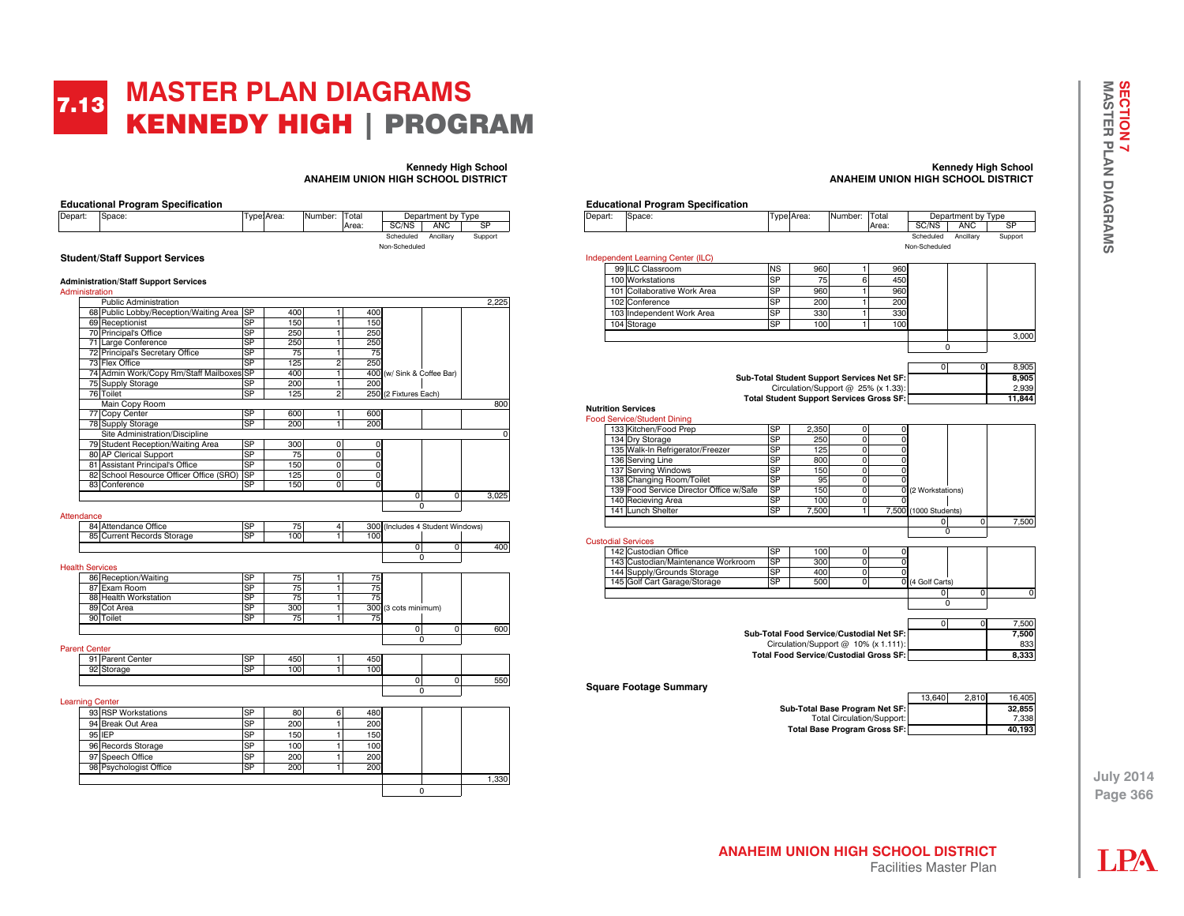### **MASTER PLAN DIAGRAMS**  KENNEDY HIGH | PROGRAM 7.13

**Kennedy High School**

| Depart:              | Space:                                                    |                        | Type Area: | Number:                               | Total |                  |                              | Department by Type |           |       |
|----------------------|-----------------------------------------------------------|------------------------|------------|---------------------------------------|-------|------------------|------------------------------|--------------------|-----------|-------|
|                      |                                                           |                        |            |                                       | Area: |                  | SC/NS                        | <b>ANC</b>         | <b>SP</b> |       |
|                      |                                                           |                        |            |                                       |       |                  | Scheduled                    | Ancillary          | Support   |       |
|                      |                                                           |                        |            |                                       |       |                  | Non-Scheduled                |                    |           |       |
|                      | <b>Student/Staff Support Services</b>                     |                        |            |                                       |       |                  |                              |                    |           |       |
|                      |                                                           |                        |            |                                       |       |                  |                              |                    |           |       |
|                      | <b>Administration/Staff Support Services</b>              |                        |            |                                       |       |                  |                              |                    |           |       |
| Administration       |                                                           |                        |            |                                       |       |                  |                              |                    |           |       |
|                      | Public Administration                                     |                        |            |                                       |       |                  |                              |                    |           | 2,225 |
|                      | 68 Public Lobby/Reception/Waiting Area                    | <b>SP</b>              | 400        | $\mathbf{1}$                          |       | 400              |                              |                    |           |       |
|                      | 69 Receptionist                                           | <b>SP</b>              | 150        | 1                                     |       | 150              |                              |                    |           |       |
|                      | 70 Principal's Office                                     | SP                     | 250        | Ŧ                                     |       | 250              |                              |                    |           |       |
|                      | 71 Large Conference                                       | <b>SP</b>              | 250        | $\mathbf{1}$                          |       | 250              |                              |                    |           |       |
|                      | 72 Principal's Secretary Office                           | SP                     | 75         | $\overline{1}$                        |       | 75               |                              |                    |           |       |
|                      | 73 Flex Office                                            | $\overline{\text{SP}}$ | 125        | $\overline{2}$                        |       | 250              |                              |                    |           |       |
|                      | 74 Admin Work/Copy Rm/Staff Mailboxes                     | <b>SP</b>              | 400        | 1                                     |       |                  | 400 (w/ Sink & Coffee Bar)   |                    |           |       |
|                      | 75 Supply Storage                                         | <b>SP</b>              | 200        | $\overline{1}$                        |       | 200              |                              |                    |           |       |
|                      | 76 Toilet                                                 | <b>SP</b>              | 125        | $\overline{2}$                        |       | 250              | (2 Fixtures Each)            |                    |           |       |
|                      | Main Copy Room                                            | SP                     | 600        |                                       |       |                  |                              |                    |           | 800   |
|                      | 77 Copy Center                                            | <b>SP</b>              | 200        | T                                     |       | 600<br>200       |                              |                    |           |       |
|                      | 78 Supply Storage                                         |                        |            | 1                                     |       |                  |                              |                    |           |       |
|                      | Site Administration/Discipline                            | <b>SP</b>              | 300        |                                       |       |                  |                              |                    |           | 0     |
|                      | 79 Student Reception/Waiting Area                         | SP                     |            | $\mathbf{0}$                          |       | 0                |                              |                    |           |       |
|                      | 80 AP Clerical Support<br>81 Assistant Principal's Office | $\overline{\text{SP}}$ | 75<br>150  | $\mathsf{O}\xspace$<br>$\overline{0}$ |       | 0<br>$\mathbf 0$ |                              |                    |           |       |
|                      |                                                           | <b>SP</b>              | 125        | $\mathbf{0}$                          |       | $\mathbf 0$      |                              |                    |           |       |
|                      | 82 School Resource Officer Office (SRO)<br>83 Conference  | <b>SP</b>              | 150        | $\overline{0}$                        |       | $\mathbf 0$      |                              |                    |           |       |
|                      |                                                           |                        |            |                                       |       |                  | o                            | ō                  |           | 3.025 |
|                      |                                                           |                        |            |                                       |       |                  | $\Omega$                     |                    |           |       |
| Attendance           |                                                           |                        |            |                                       |       |                  |                              |                    |           |       |
|                      | 84 Attendance Office                                      | SP                     | 75         | $\overline{4}$                        |       | 300              | (Includes 4 Student Windows) |                    |           |       |
|                      | 85 Current Records Storage                                | <b>SP</b>              | 100        | $\mathbf{1}$                          |       | 100              |                              |                    |           |       |
|                      |                                                           |                        |            |                                       |       |                  | $\mathbf 0$                  | $\mathbf 0$        |           | 400   |
|                      |                                                           |                        |            |                                       |       |                  | $\Omega$                     |                    |           |       |
|                      | <b>Health Services</b>                                    |                        |            |                                       |       |                  |                              |                    |           |       |
|                      | 86 Reception/Waiting                                      | SP                     | 75         | $\mathbf{1}$                          |       | 75               |                              |                    |           |       |
|                      | 87 Exam Room                                              | SP                     | 75         | $\mathbf{1}$                          |       | 75               |                              |                    |           |       |
|                      | 88 Health Workstation                                     | SP                     | 75         | 1                                     |       | 75               |                              |                    |           |       |
|                      | 89 Cot Area                                               | <b>SP</b>              | 300        | 1                                     |       |                  | 300 (3 cots minimum)         |                    |           |       |
|                      | 90 Toilet                                                 | <b>SP</b>              | 75         | $\overline{1}$                        |       | 75               |                              |                    |           |       |
|                      |                                                           |                        |            |                                       |       |                  | 0                            | $\mathbf{0}$       |           | 600   |
|                      |                                                           |                        |            |                                       |       |                  | $\mathbf 0$                  |                    |           |       |
| <b>Parent Center</b> |                                                           |                        |            |                                       |       |                  |                              |                    |           |       |
|                      | 91 Parent Center                                          | <b>SP</b>              | 450        | $\mathbf{1}$                          |       | 450              |                              |                    |           |       |
|                      | 92 Storage                                                | $\overline{\text{SP}}$ | 100        | T                                     |       | 100              |                              |                    |           |       |
|                      |                                                           |                        |            |                                       |       |                  | o                            | $\overline{0}$     |           | 550   |
|                      |                                                           |                        |            |                                       |       |                  | $\Omega$                     |                    |           |       |
|                      | <b>Learning Center</b>                                    |                        |            |                                       |       |                  |                              |                    |           |       |
|                      | 93 RSP Workstations                                       | SP                     | 80         | 6                                     |       | 480              |                              |                    |           |       |
|                      | 94 Break Out Area                                         | <b>SP</b>              | 200        | 1                                     |       | 200              |                              |                    |           |       |
|                      | 95 IEP                                                    | SP                     |            | $\mathbf{1}$                          |       |                  |                              |                    |           |       |
|                      |                                                           |                        | 150        |                                       |       | 150              |                              |                    |           |       |
|                      | 96 Records Storage                                        | SP                     | 100        | $\mathbf{1}$                          |       | 100              |                              |                    |           |       |
|                      |                                                           |                        | 200        |                                       |       | 200              |                              |                    |           |       |
|                      | 97 Speech Office                                          | <b>SP</b>              |            | $\mathbf{1}$                          |       |                  |                              |                    |           |       |
|                      | 98 Psychologist Office                                    | SP                     | 200        | $\overline{1}$                        |       | 200              |                              |                    |           |       |
|                      |                                                           |                        |            |                                       |       |                  |                              |                    |           | 1.330 |

#### **Kennedy High School ANAHEIM UNION HIGH SCHOOL DISTRICT**



**July 2014 Page 366**